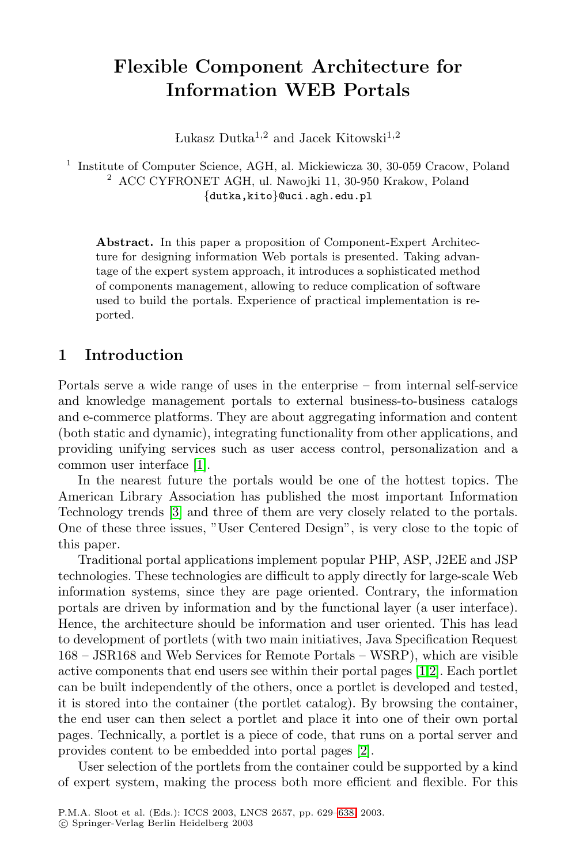# **Flexible Component Architecture for Information WEB Portals**

Lukasz Dutka<sup>1,2</sup> and Jacek Kitowski<sup>1,2</sup>

<sup>1</sup> Institute of Computer Science, AGH, al. Mickiewicza 30, 30-059 Cracow, Poland <sup>2</sup> ACC CYFRONET AGH, ul. Nawojki 11, 30-950 Krakow, Poland {dutka,kito}@uci.agh.edu.pl

**Abstract.** In this paper a proposition of Component-Expert Architecture for designing information Web portals is presented. Taking advantage of the expert system approach, it introduces a sophisticated method of components management, allowing to reduce complication of software used to build the portals. Experience of practical implementation is reported.

### **[1](#page-8-0) Introduction**

Portals serve a wide range of uses in the enterprise – from internal self-service and knowledge management portals to external business-to-business catalogs and e-commerce platforms.They are about aggregating information and content (both static and dynamic), integrating functionality from other applications, and providing unifying services such as user access control, personalization and a common user interface [1].

In the nearest future the portals would be one of the hottest topics. The American Library Association has published the most important Information Technology trends [3] and three of them [are](#page-8-0) very closely related to the portals. One of these three issues, "User Centered Design", is very close to the topic of this paper.

Traditional portal applications implement popular PHP, ASP, J2EE and JSP technologies.These technologies are difficult to apply directly for large-scale Web information systems, since th[ey](#page-8-0) are page oriented.Contrary, the information portals are driven by information and by the functional layer (a user interface). Hence, the architecture should be information and user oriented.This has lead to development of portlets (with two main initiatives, Java Specification Request 168 – JSR168 and Web Ser[vice](#page-9-0)s for Remote Portals – WSRP), which are visible active components that end users see within their portal pages  $[1,2]$ . Each portlet can be built independently of the others, once a portlet is developed and tested, it is stored into the container (the portlet catalog).By browsing the container, the end user can then select a portlet and place it into one of their own portal pages.Technically, a portlet is a piece of code, that runs on a portal server and provides content to be embedded into portal pages [2].

User selection of the portlets from the container could be supported by a kind of expert system, making the process both more efficient and flexible.For this

P.M.A. Sloot et al. (Eds.): ICCS 2003, LNCS 2657, pp. 629–638, 2003.

c Springer-Verlag Berlin Heidelberg 2003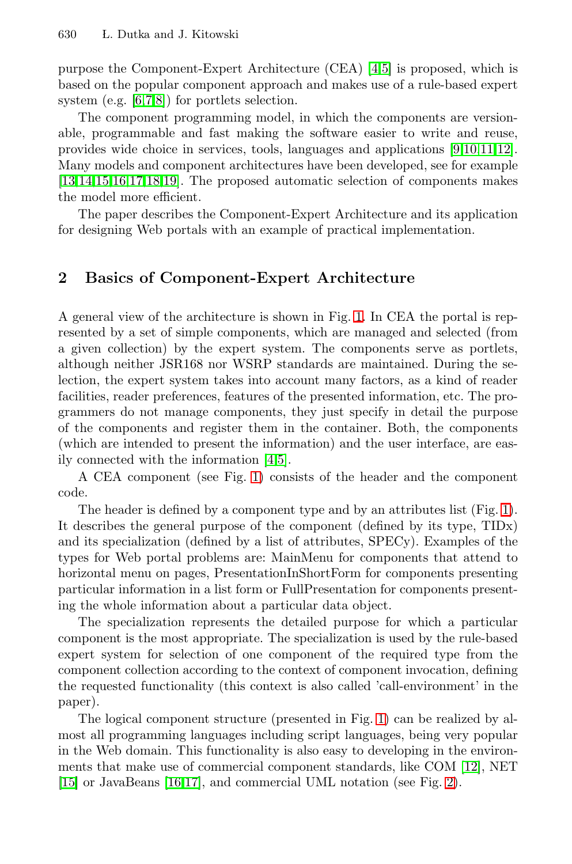purpose the Component-Expert Architecture (CEA) [\[4,5\]](#page-8-0) is proposed, which is based on the popular component approach and makes use of a rule-based expert system (e.g. [\[6,7,8\]](#page-9-0)) for portlets selection.

The component programming model, in which the components are versionable, programmable and fast making the software easier to write and reuse, provides wide choice in services, tools, languages and applications [\[9,10,11,12\]](#page-9-0). Many models and component architectures have been developed, see for example [\[13,14,15,16,17,18,19\]](#page-9-0).The proposed automatic selection of components makes the model more efficient.

The paper describes the Component-Expert Architecture and its application for designing Web portals with an example of practical implementation.

## **2 Basics of Component-Expert Architecture**

A general view of the architecture is shown in Fig.[1.](#page-2-0)In CEA the portal is represented by a set of simple components, which are managed and selected (from a given collection) by the expert system.The components serve as portlets, although neither JSR168 nor WSRP standards are maintained. During the selection, the expert system takes into account many factors, as a kind of reader facilities, reader preferences, features of the presented information, etc.The programmers do not manage components, they just specify in detail the purpose of the components and register them in the container.Both, the components (which are intended to present the information) and the user interface, are easily connected with the information [\[4,5\]](#page-8-0).

A CEA component (see Fig.[1\)](#page-2-0) consists of the header and the component code.

The header is defined by a component type and by an attributes list (Fig.[1\)](#page-2-0). It describes the general purpose of the component (defined by its type, TIDx) and its specialization (defined by a list of attributes, SPECy).Examples of the types for Web portal problems are: MainMenu for components that attend to horizontal menu on pages, PresentationInShortForm for components presenting particular information in a list form or FullPresentation for components presenting the whole information about a particular data object.

The specialization represents the detailed purpose for which a particular component is the most appropriate.The specialization is used by the rule-based expert system for selection of one component of the required type from the component collection according to the context of component invocation, defining the requested functionality (this context is also called 'call-environment' in the paper).

The logical component structure (presented in Fig.[1\)](#page-2-0) can be realized by almost all programming languages including script languages, being very popular in the Web domain.This functionality is also easy to developing in the environments that make use of commercial component standards, like COM [\[12\]](#page-9-0), NET [\[15\]](#page-9-0) or JavaBeans [\[16,17\]](#page-9-0), and commercial UML notation (see Fig.[2\)](#page-2-0).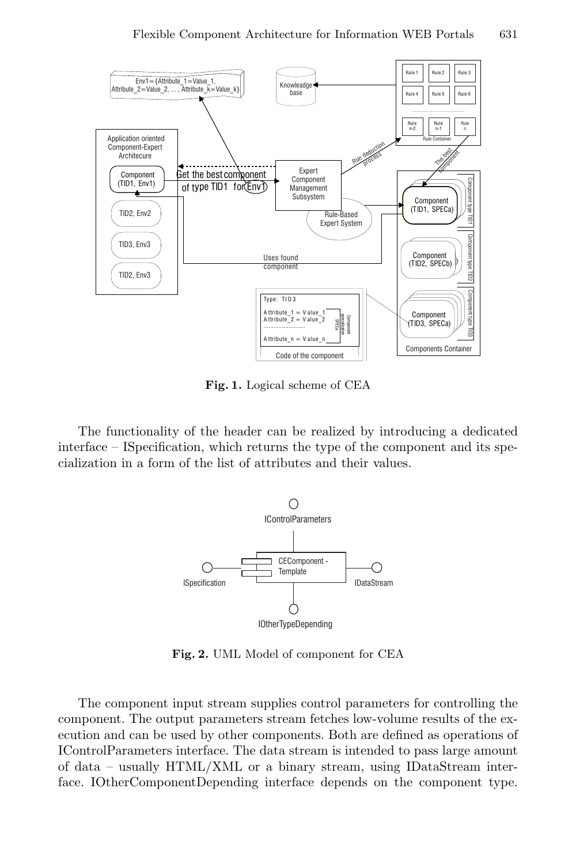<span id="page-2-0"></span>

**Fig. 1.** Logical scheme of CEA

The functionality of the header can be realized by introducing a dedicated interface – ISpecification, which returns the type of the component and its specialization in a form of the list of attributes and their values.



**Fig. 2.** UML Model of component for CEA

The component input stream supplies control parameters for controlling the component.The output parameters stream fetches low-volume results of the execution and can be used by other components.Both are defined as operations of IControlParameters interface.The data stream is intended to pass large amount of data – usually HTML/XML or a binary stream, using IDataStream interface.IOtherComponentDepending interface depends on the component type.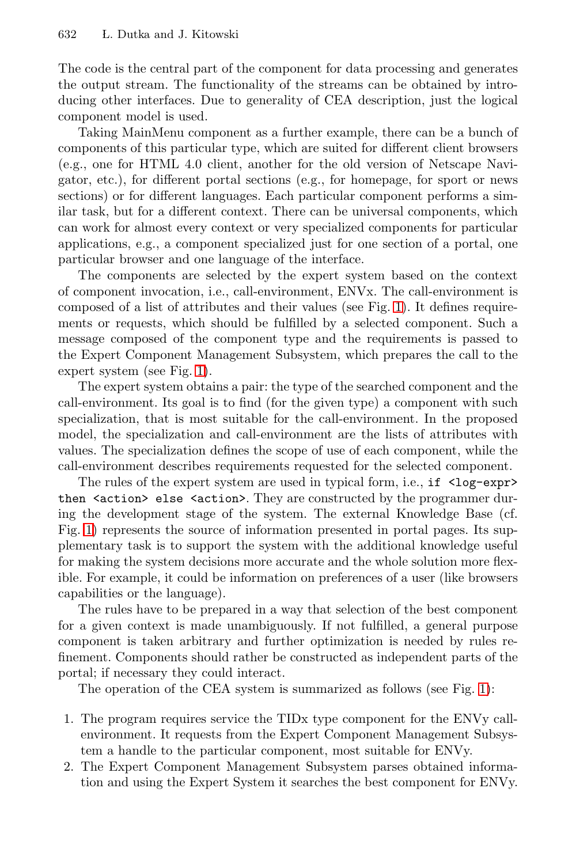The code is the central part of the component for data processing and generates the output stream.The functionality of the streams can be obtained by introducing other interfaces.Due to generality of CEA description, just the logical component model is used.

Taking MainMenu component as a further example, there can be a bunch of components of this particular type, which are suited for different client browsers (e.g., one for HTML 4.0 client, another for the old version of Netscape Navigator, etc.), for different portal sections (e.g., for homepage, for sport or news sections) or for different languages. Each particular component performs a similar task, but for a different context.There can be universal components, which can work for almost every context or very specialized components for particular applications, e.g., a component specialized just for one section of a portal, one particular browser and one language of the interface.

The components are selected by the expert system based on the context of component invocation, i.e., call-environment, ENVx. The call-environment is composed of a list of attributes and their values (see Fig.[1\)](#page-2-0).It defines requirements or requests, which should be fulfilled by a selected component. Such a message composed of the component type and the requirements is passed to the Expert Component Management Subsystem, which prepares the call to the expert system (see Fig. [1\)](#page-2-0).

The expert system obtains a pair: the type of the searched component and the call-environment.Its goal is to find (for the given type) a component with such specialization, that is most suitable for the call-environment. In the proposed model, the specialization and call-environment are the lists of attributes with values.The specialization defines the scope of use of each component, while the call-environment describes requirements requested for the selected component.

The rules of the expert system are used in typical form, i.e., if  $\langle \log-\exp \rangle$ then  $\lambda$  action  $\lambda$  else  $\lambda$  action  $\lambda$ . They are constructed by the programmer during the development stage of the system.The external Knowledge Base (cf. Fig.[1\)](#page-2-0) represents the source of information presented in portal pages.Its supplementary task is to support the system with the additional knowledge useful for making the system decisions more accurate and the whole solution more flexible.For example, it could be information on preferences of a user (like browsers capabilities or the language).

The rules have to be prepared in a way that selection of the best component for a given context is made unambiguously.If not fulfilled, a general purpose component is taken arbitrary and further optimization is needed by rules refinement.Components should rather be constructed as independent parts of the portal; if necessary they could interact.

The operation of the CEA system is summarized as follows (see Fig.[1\)](#page-2-0):

- 1.The program requires service the TIDx type component for the ENVy callenvironment.It requests from the Expert Component Management Subsystem a handle to the particular component, most suitable for ENVy.
- 2.The Expert Component Management Subsystem parses obtained information and using the Expert System it searches the best component for ENVy.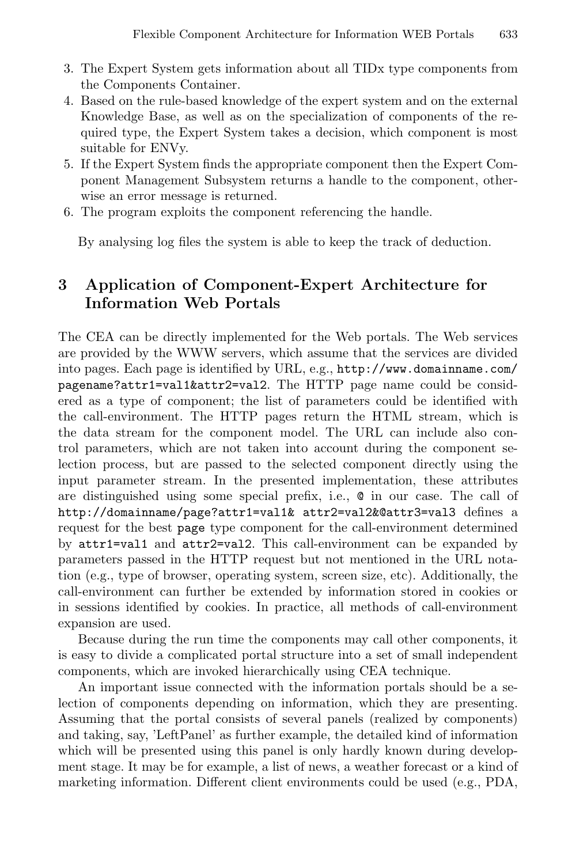- 3.The Expert System gets information about all TIDx type components from the Components Container.
- 4.Based on the rule-based knowledge of the expert system and on the external Knowledge Base, as well as on the specialization of components of the required type, the Expert System takes a decision, which component is most suitable for ENVy.
- 5.If the Expert System finds the appropriate component then the Expert Component Management Subsystem returns a handle to the component, otherwise an error message is returned.
- 6.The program exploits the component referencing the handle.

By analysing log files the system is able to keep the track of deduction.

# **3 Application of Component-Expert Architecture for Information Web Portals**

The CEA can be directly implemented for the Web portals.The Web services are provided by the WWW servers, which assume that the services are divided into pages. Each page is identified by URL, e.g., http://www.domainname.com/ pagename?attr1=val1&attr2=val2.The HTTP page name could be considered as a type of component; the list of parameters could be identified with the call-environment.The HTTP pages return the HTML stream, which is the data stream for the component model.The URL can include also control parameters, which are not taken into account during the component selection process, but are passed to the selected component directly using the input parameter stream.In the presented implementation, these attributes are distinguished using some special prefix, i.e., @ in our case.The call of http://domainname/page?attr1=val1& attr2=val2&@attr3=val3 defines a request for the best page type component for the call-environment determined by attr1=val1 and attr2=val2.This call-environment can be expanded by parameters passed in the HTTP request but not mentioned in the URL notation (e.g., type of browser, operating system, screen size, etc). Additionally, the call-environment can further be extended by information stored in cookies or in sessions identified by cookies.In practice, all methods of call-environment expansion are used.

Because during the run time the components may call other components, it is easy to divide a complicated portal structure into a set of small independent components, which are invoked hierarchically using CEA technique.

An important issue connected with the information portals should be a selection of components depending on information, which they are presenting. Assuming that the portal consists of several panels (realized by components) and taking, say, 'LeftPanel' as further example, the detailed kind of information which will be presented using this panel is only hardly known during development stage.It may be for example, a list of news, a weather forecast or a kind of marketing information. Different client environments could be used (e.g., PDA,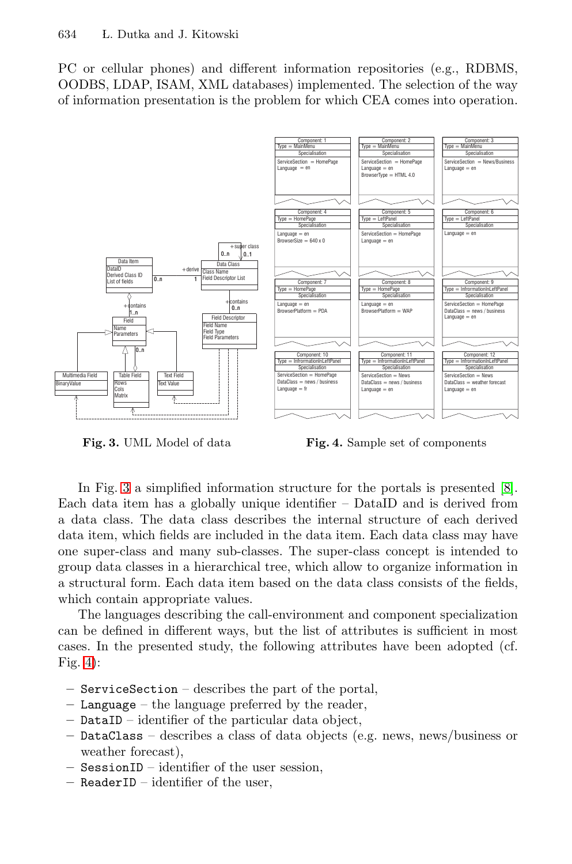<span id="page-5-0"></span>PC or cellular phones) and different information repositories (e.g., RDBMS, OODBS, LDAP, ISAM, XML databases) implemented.The selection of the way of information presentation is the problem for which CEA comes into operation.



**Fig. 3.** UML Model of data

**Fig. 4.** Sample set of components

In Fig.3 a simplified information structure for the portals is presented [\[8\]](#page-9-0). Each data item has a globally unique identifier – DataID and is derived from a data class.The data class describes the internal structure of each derived data item, which fields are included in the data item.Each data class may have one super-class and many sub-classes.The super-class concept is intended to group data classes in a hierarchical tree, which allow to organize information in a structural form.Each data item based on the data class consists of the fields, which contain appropriate values.

The languages describing the call-environment and component specialization can be defined in different ways, but the list of attributes is sufficient in most cases.In the presented study, the following attributes have been adopted (cf. Fig.  $4$ :

- **–** ServiceSection describes the part of the portal,
- **–** Language the language preferred by the reader,
- **–** DataID identifier of the particular data object,
- **–** DataClass describes a class of data objects (e.g. news, news/business or weather forecast),
- **–** SessionID identifier of the user session,
- **–** ReaderID identifier of the user,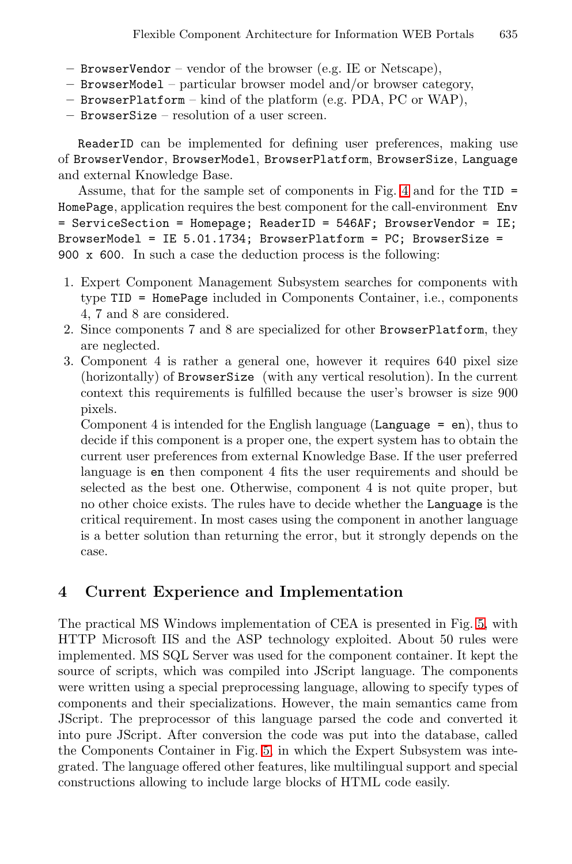- **–** BrowserVendor vendor of the browser (e.g. IE or Netscape),
- **–** BrowserModel particular browser model and/or browser category,
- **–** BrowserPlatform kind of the platform (e.g. PDA, PC or WAP),
- **–** BrowserSize resolution of a user screen.

ReaderID can be implemented for defining user preferences, making use of BrowserVendor, BrowserModel, BrowserPlatform, BrowserSize, Language and external Knowledge Base.

Assume, that for the sample set of components in Fig.[4](#page-5-0) and for the TID = HomePage, application requires the best component for the call-environment Env = ServiceSection = Homepage; ReaderID = 546AF; BrowserVendor = IE; BrowserModel = IE 5.01.1734; BrowserPlatform = PC; BrowserSize = 900 x 600. In such a case the deduction process is the following:

- 1.Expert Component Management Subsystem searches for components with type TID = HomePage included in Components Container, i.e., components 4, 7 and 8 are considered.
- 2.Since components 7 and 8 are specialized for other BrowserPlatform, they are neglected.
- 3.Component 4 is rather a general one, however it requires 640 pixel size (horizontally) of BrowserSize (with any vertical resolution). In the current context this requirements is fulfilled because the user's browser is size 900 pixels.

Component 4 is intended for the English language (Language  $=$  en), thus to decide if this component is a proper one, the expert system has to obtain the current user preferences from external Knowledge Base.If the user preferred language is en then component 4 fits the user requirements and should be selected as the best one. Otherwise, component 4 is not quite proper, but no other choice exists.The rules have to decide whether the Language is the critical requirement.In most cases using the component in another language is a better solution than returning the error, but it strongly depends on the case.

### **4 Current Experience and Implementation**

The practical MS Windows implementation of CEA is presented in Fig.[5,](#page-7-0) with HTTP Microsoft IIS and the ASP technology exploited.About 50 rules were implemented.MS SQL Server was used for the component container.It kept the source of scripts, which was compiled into JScript language. The components were written using a special preprocessing language, allowing to specify types of components and their specializations.However, the main semantics came from JScript. The preprocessor of this language parsed the code and converted it into pure JScript.After conversion the code was put into the database, called the Components Container in Fig. [5,](#page-7-0) in which the Expert Subsystem was integrated.The language offered other features, like multilingual support and special constructions allowing to include large blocks of HTML code easily.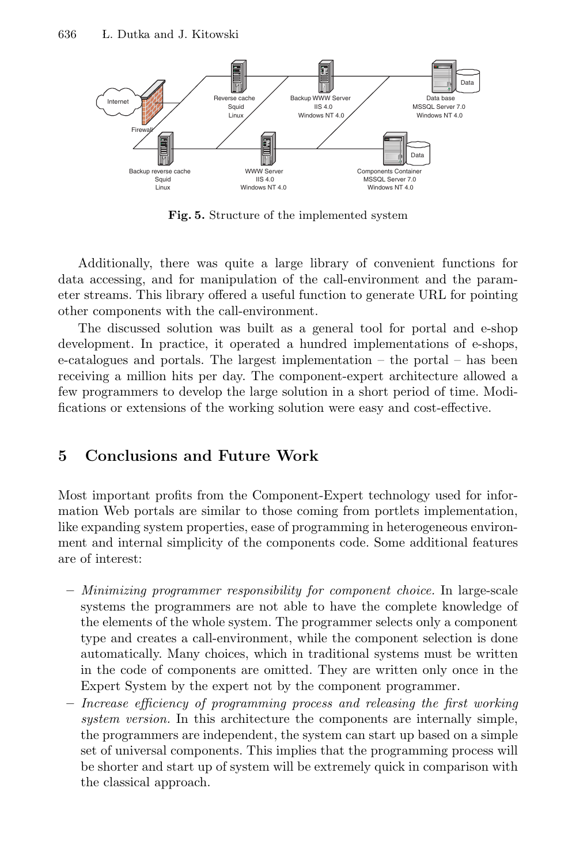<span id="page-7-0"></span>

**Fig. 5.** Structure of the implemented system

Additionally, there was quite a large library of convenient functions for data accessing, and for manipulation of the call-environment and the parameter streams.This library offered a useful function to generate URL for pointing other components with the call-environment.

The discussed solution was built as a general tool for portal and e-shop development.In practice, it operated a hundred implementations of e-shops,  $e$ -catalogues and portals. The largest implementation – the portal – has been receiving a million hits per day.The component-expert architecture allowed a few programmers to develop the large solution in a short period of time. Modifications or extensions of the working solution were easy and cost-effective.

#### **5Conclusions and Future Work**

Most important profits from the Component-Expert technology used for information Web portals are similar to those coming from portlets implementation, like expanding system properties, ease of programming in heterogeneous environment and internal simplicity of the components code. Some additional features are of interest:

- **–** Minimizing programmer responsibility for component choice. In large-scale systems the programmers are not able to have the complete knowledge of the elements of the whole system.The programmer selects only a component type and creates a call-environment, while the component selection is done automatically.Many choices, which in traditional systems must be written in the code of components are omitted.They are written only once in the Expert System by the expert not by the component programmer.
- **–** Increase efficiency of programming process and releasing the first working system version. In this architecture the components are internally simple, the programmers are independent, the system can start up based on a simple set of universal components.This implies that the programming process will be shorter and start up of system will be extremely quick in comparison with the classical approach.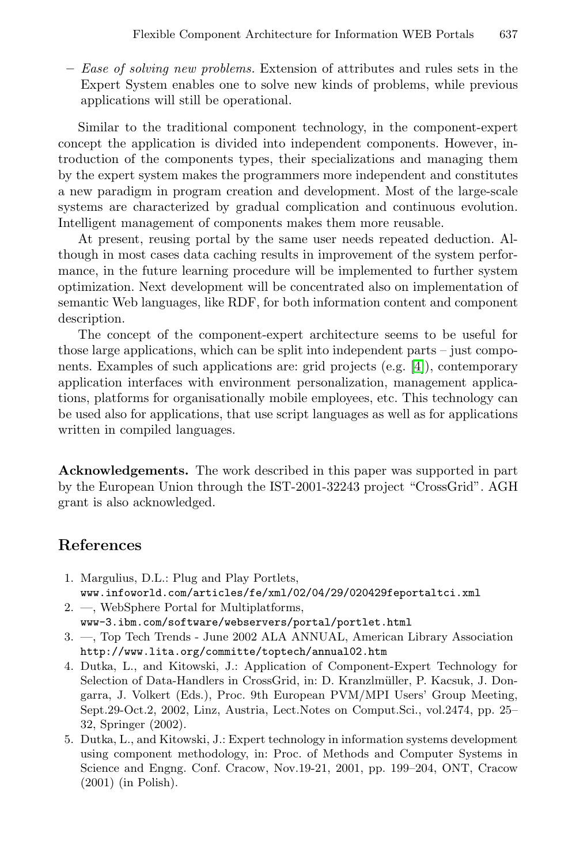<span id="page-8-0"></span>**–** Ease of solving new problems. Extension of attributes and rules sets in the Expert System enables one to solve new kinds of problems, while previous applications will still be operational.

Similar to the traditional component technology, in the component-expert concept the application is divided into independent components.However, introduction of the components types, their specializations and managing them by the expert system makes the programmers more independent and constitutes a new paradigm in program creation and development.Most of the large-scale systems are characterized by gradual complication and continuous evolution. Intelligent management of components makes them more reusable.

At present, reusing portal by the same user needs repeated deduction.Although in most cases data caching results in improvement of the system performance, in the future learning procedure will be implemented to further system optimization.Next development will be concentrated also on implementation of semantic Web languages, like RDF, for both information content and component description.

The concept of the component-expert architecture seems to be useful for those large applications, which can be split into independent parts – just components.Examples of such applications are: grid projects (e.g.[4]), contemporary application interfaces with environment personalization, management applications, platforms for organisationally mobile employees, etc.This technology can be used also for applications, that use script languages as well as for applications written in compiled languages.

**Acknowledgements.** The work described in this paper was supported in part by the European Union through the IST-2001-32243 project "CrossGrid".AGH grant is also acknowledged.

### **References**

- 1. Margulius, D.L.: Plug and Play Portlets, www.infoworld.com/articles/fe/xml/02/04/29/020429feportaltci.xml
- 2. —, WebSphere Portal for Multiplatforms, www-3.ibm.com/software/webservers/portal/portlet.html
- 3. —, Top Tech Trends -June 2002 ALA ANNUAL, American Library Association http://www.lita.org/committe/toptech/annual02.htm
- 4. Dutka, L., and Kitowski, J.: Application of Component-Expert Technology for Selection of Data-Handlers in CrossGrid, in: D. Kranzlmüller, P. Kacsuk, J. Dongarra, J. Volkert (Eds.), Proc. 9th European PVM/MPI Users' Group Meeting, Sept.29-Oct.2, 2002, Linz, Austria, Lect.Notes on Comput.Sci., vol.2474, pp. 25– 32, Springer (2002).
- 5. Dutka, L., and Kitowski, J.: Expert technology in information systems development using component methodology, in: Proc. of Methods and Computer Systems in Science and Engng. Conf. Cracow, Nov.19-21, 2001, pp. 199–204, ONT, Cracow (2001) (in Polish).